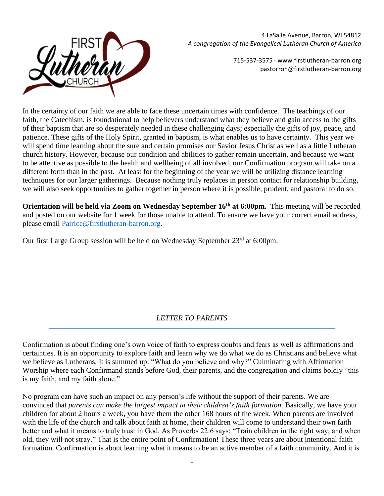

4 LaSalle Avenue, Barron, WI 54812 *A congregation of the Evangelical Lutheran Church of America*

> 715-537-3575 · www.firstlutheran-barron.org pastorron@firstlutheran-barron.org

In the certainty of our faith we are able to face these uncertain times with confidence. The teachings of our faith, the Catechism, is foundational to help believers understand what they believe and gain access to the gifts of their baptism that are so desperately needed in these challenging days; especially the gifts of joy, peace, and patience. These gifts of the Holy Spirit, granted in baptism, is what enables us to have certainty. This year we will spend time learning about the sure and certain promises our Savior Jesus Christ as well as a little Lutheran church history. However, because our condition and abilities to gather remain uncertain, and because we want to be attentive as possible to the health and wellbeing of all involved, our Confirmation program will take on a different form than in the past. At least for the beginning of the year we will be utilizing distance learning techniques for our larger gatherings. Because nothing truly replaces in person contact for relationship building, we will also seek opportunities to gather together in person where it is possible, prudent, and pastoral to do so.

**Orientation will be held via Zoom on Wednesday September 16th at 6:00pm.** This meeting will be recorded and posted on our website for 1 week for those unable to attend. To ensure we have your correct email address, please email [Patrice@firstlutheran-barron.org.](mailto:Patrice@firstlutheran-barron.org)

Our first Large Group session will be held on Wednesday September 23<sup>rd</sup> at 6:00pm.

# *LETTER TO PARENTS*

Confirmation is about finding one's own voice of faith to express doubts and fears as well as affirmations and certainties. It is an opportunity to explore faith and learn why we do what we do as Christians and believe what we believe as Lutherans. It is summed up: "What do you believe and why?" Culminating with Affirmation Worship where each Confirmand stands before God, their parents, and the congregation and claims boldly "this is my faith, and my faith alone."

No program can have such an impact on any person's life without the support of their parents. We are convinced that *parents can make the largest impact in their children's faith formation*. Basically, we have your children for about 2 hours a week, you have them the other 168 hours of the week. When parents are involved with the life of the church and talk about faith at home, their children will come to understand their own faith better and what it means to truly trust in God. As Proverbs 22:6 says: "Train children in the right way, and when old, they will not stray." That is the entire point of Confirmation! These three years are about intentional faith formation. Confirmation is about learning what it means to be an active member of a faith community. And it is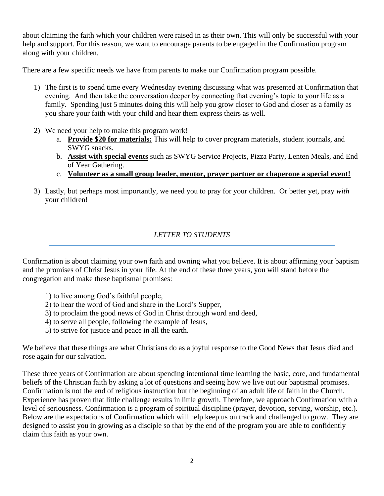about claiming the faith which your children were raised in as their own. This will only be successful with your help and support. For this reason, we want to encourage parents to be engaged in the Confirmation program along with your children.

There are a few specific needs we have from parents to make our Confirmation program possible.

- 1) The first is to spend time every Wednesday evening discussing what was presented at Confirmation that evening. And then take the conversation deeper by connecting that evening's topic to your life as a family. Spending just 5 minutes doing this will help you grow closer to God and closer as a family as you share your faith with your child and hear them express theirs as well.
- 2) We need your help to make this program work!
	- a. **Provide \$20 for materials:** This will help to cover program materials, student journals, and SWYG snacks.
	- b. **Assist with special events** such as SWYG Service Projects, Pizza Party, Lenten Meals, and End of Year Gathering.
	- c. **Volunteer as a small group leader, mentor, prayer partner or chaperone a special event!**
- 3) Lastly, but perhaps most importantly, we need you to pray for your children. Or better yet, pray *with* your children!

# *LETTER TO STUDENTS*

Confirmation is about claiming your own faith and owning what you believe. It is about affirming your baptism and the promises of Christ Jesus in your life. At the end of these three years, you will stand before the congregation and make these baptismal promises:

- 1) to live among God's faithful people,
- 2) to hear the word of God and share in the Lord's Supper,
- 3) to proclaim the good news of God in Christ through word and deed,
- 4) to serve all people, following the example of Jesus,
- 5) to strive for justice and peace in all the earth.

We believe that these things are what Christians do as a joyful response to the Good News that Jesus died and rose again for our salvation.

These three years of Confirmation are about spending intentional time learning the basic, core, and fundamental beliefs of the Christian faith by asking a lot of questions and seeing how we live out our baptismal promises. Confirmation is not the end of religious instruction but the beginning of an adult life of faith in the Church. Experience has proven that little challenge results in little growth. Therefore, we approach Confirmation with a level of seriousness. Confirmation is a program of spiritual discipline (prayer, devotion, serving, worship, etc.). Below are the expectations of Confirmation which will help keep us on track and challenged to grow. They are designed to assist you in growing as a disciple so that by the end of the program you are able to confidently claim this faith as your own.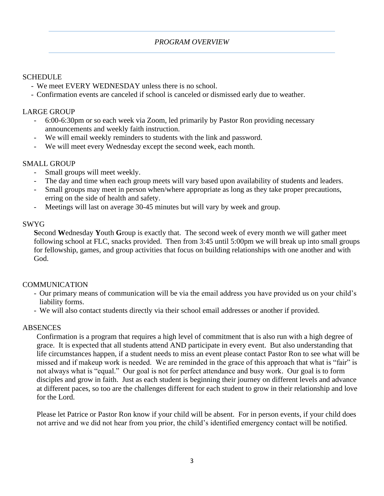### **SCHEDULE**

- We meet EVERY WEDNESDAY unless there is no school.
- Confirmation events are canceled if school is canceled or dismissed early due to weather.

## LARGE GROUP

- 6:00-6:30pm or so each week via Zoom, led primarily by Pastor Ron providing necessary announcements and weekly faith instruction.
- We will email weekly reminders to students with the link and password.
- We will meet every Wednesday except the second week, each month.

## SMALL GROUP

- Small groups will meet weekly.
- The day and time when each group meets will vary based upon availability of students and leaders.
- Small groups may meet in person when/where appropriate as long as they take proper precautions, erring on the side of health and safety.
- Meetings will last on average 30-45 minutes but will vary by week and group.

### SWYG

**S**econd **W**ednesday **Y**outh **G**roup is exactly that. The second week of every month we will gather meet following school at FLC, snacks provided. Then from 3:45 until 5:00pm we will break up into small groups for fellowship, games, and group activities that focus on building relationships with one another and with God.

## COMMUNICATION

- Our primary means of communication will be via the email address you have provided us on your child's liability forms.
- We will also contact students directly via their school email addresses or another if provided.

## ABSENCES

Confirmation is a program that requires a high level of commitment that is also run with a high degree of grace. It is expected that all students attend AND participate in every event. But also understanding that life circumstances happen, if a student needs to miss an event please contact Pastor Ron to see what will be missed and if makeup work is needed. We are reminded in the grace of this approach that what is "fair" is not always what is "equal." Our goal is not for perfect attendance and busy work. Our goal is to form disciples and grow in faith. Just as each student is beginning their journey on different levels and advance at different paces, so too are the challenges different for each student to grow in their relationship and love for the Lord.

Please let Patrice or Pastor Ron know if your child will be absent. For in person events, if your child does not arrive and we did not hear from you prior, the child's identified emergency contact will be notified.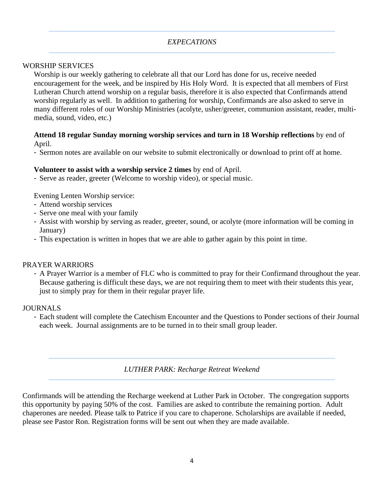### *EXPECATIONS*

### WORSHIP SERVICES

Worship is our weekly gathering to celebrate all that our Lord has done for us, receive needed encouragement for the week, and be inspired by His Holy Word. It is expected that all members of First Lutheran Church attend worship on a regular basis, therefore it is also expected that Confirmands attend worship regularly as well. In addition to gathering for worship, Confirmands are also asked to serve in many different roles of our Worship Ministries (acolyte, usher/greeter, communion assistant, reader, multimedia, sound, video, etc.)

### **Attend 18 regular Sunday morning worship services and turn in 18 Worship reflections** by end of April.

- Sermon notes are available on our website to submit electronically or download to print off at home.

### **Volunteer to assist with a worship service 2 times** by end of April.

- Serve as reader, greeter (Welcome to worship video), or special music.

Evening Lenten Worship service:

- Attend worship services
- Serve one meal with your family
- Assist with worship by serving as reader, greeter, sound, or acolyte (more information will be coming in January)
- This expectation is written in hopes that we are able to gather again by this point in time.

#### PRAYER WARRIORS

- A Prayer Warrior is a member of FLC who is committed to pray for their Confirmand throughout the year. Because gathering is difficult these days, we are not requiring them to meet with their students this year, just to simply pray for them in their regular prayer life.

#### **JOURNALS**

- Each student will complete the Catechism Encounter and the Questions to Ponder sections of their Journal each week. Journal assignments are to be turned in to their small group leader.

*LUTHER PARK: Recharge Retreat Weekend*

Confirmands will be attending the Recharge weekend at Luther Park in October. The congregation supports this opportunity by paying 50% of the cost. Families are asked to contribute the remaining portion. Adult chaperones are needed. Please talk to Patrice if you care to chaperone. Scholarships are available if needed, please see Pastor Ron. Registration forms will be sent out when they are made available.